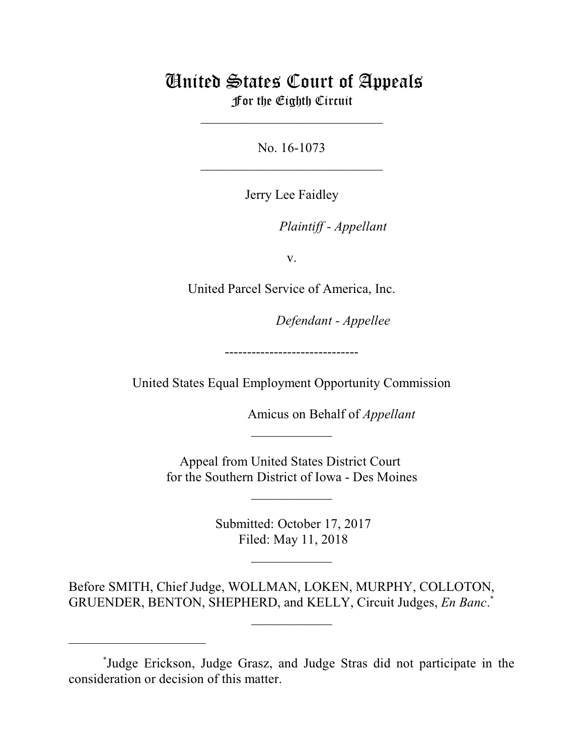## United States Court of Appeals For the Eighth Circuit

No. 16-1073  $\mathcal{L}_\text{max}$  , which is a set of the set of the set of the set of the set of the set of the set of the set of the set of the set of the set of the set of the set of the set of the set of the set of the set of the set of

\_\_\_\_\_\_\_\_\_\_\_\_\_\_\_\_\_\_\_\_\_\_\_\_\_\_\_

Jerry Lee Faidley

lllllllllllllllllllll *Plaintiff - Appellant*

v.

United Parcel Service of America, Inc.

Defendant - Appellee

------------------------------

United States Equal Employment Opportunity Commission

Amicus on Behalf of *Appellant* 

Appeal from United States District Court for the Southern District of Iowa - Des Moines

 $\overline{\phantom{a}}$  , where  $\overline{\phantom{a}}$ 

 $\frac{1}{2}$ 

 Submitted: October 17, 2017 Filed: May 11, 2018

 $\frac{1}{2}$ 

Before SMITH, Chief Judge, WOLLMAN, LOKEN, MURPHY, COLLOTON, GRUENDER, BENTON, SHEPHERD, and KELLY, Circuit Judges, *En Banc*. \*

 $\frac{1}{2}$ 

<sup>\*</sup> Judge Erickson, Judge Grasz, and Judge Stras did not participate in the consideration or decision of this matter.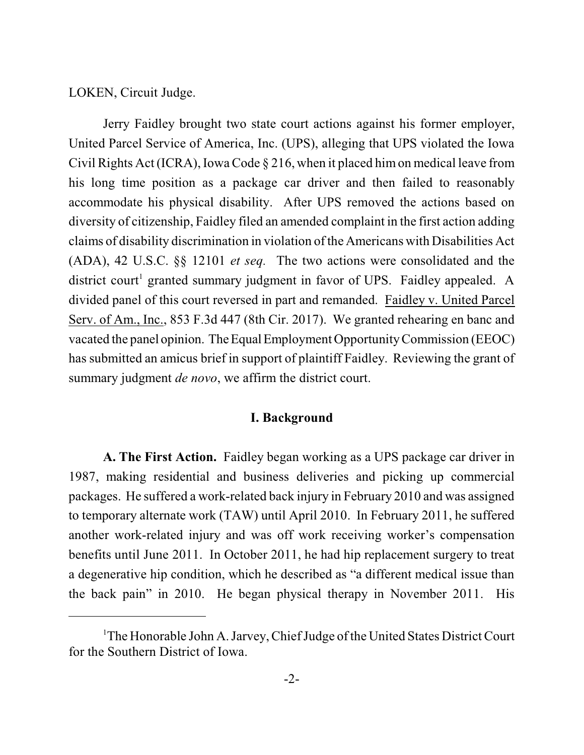LOKEN, Circuit Judge.

Jerry Faidley brought two state court actions against his former employer, United Parcel Service of America, Inc. (UPS), alleging that UPS violated the Iowa Civil Rights Act (ICRA), Iowa Code § 216, when it placed himon medical leave from his long time position as a package car driver and then failed to reasonably accommodate his physical disability. After UPS removed the actions based on diversity of citizenship, Faidley filed an amended complaint in the first action adding claims of disability discrimination in violation of the Americans with Disabilities Act (ADA), 42 U.S.C. §§ 12101 *et seq.* The two actions were consolidated and the district court 1 granted summary judgment in favor of UPS. Faidley appealed. A divided panel of this court reversed in part and remanded. Faidley v. United Parcel Serv. of Am., Inc., 853 F.3d 447 (8th Cir. 2017). We granted rehearing en banc and vacated the panel opinion. The Equal Employment Opportunity Commission (EEOC) has submitted an amicus brief in support of plaintiff Faidley. Reviewing the grant of summary judgment *de novo*, we affirm the district court.

## **I. Background**

**A. The First Action.** Faidley began working as a UPS package car driver in 1987, making residential and business deliveries and picking up commercial packages. He suffered a work-related back injury in February 2010 and was assigned to temporary alternate work (TAW) until April 2010. In February 2011, he suffered another work-related injury and was off work receiving worker's compensation benefits until June 2011. In October 2011, he had hip replacement surgery to treat a degenerative hip condition, which he described as "a different medical issue than the back pain" in 2010. He began physical therapy in November 2011. His

<sup>&</sup>lt;sup>1</sup>The Honorable John A. Jarvey, Chief Judge of the United States District Court for the Southern District of Iowa.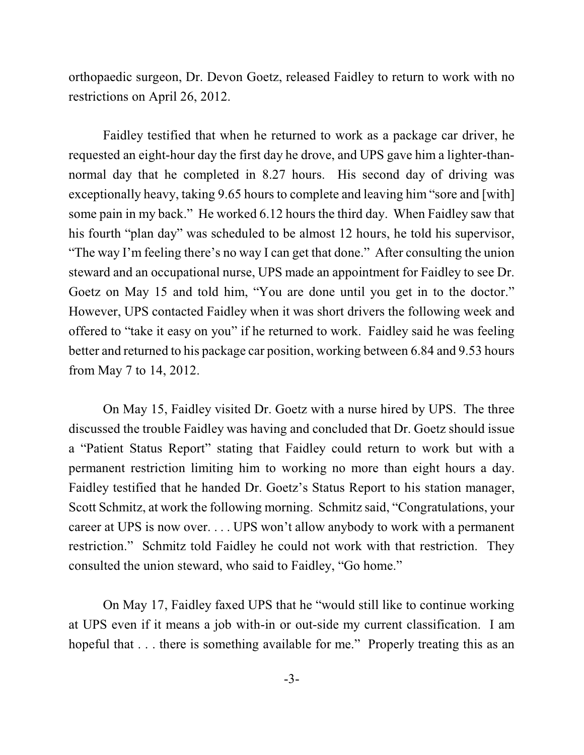orthopaedic surgeon, Dr. Devon Goetz, released Faidley to return to work with no restrictions on April 26, 2012.

Faidley testified that when he returned to work as a package car driver, he requested an eight-hour day the first day he drove, and UPS gave him a lighter-thannormal day that he completed in 8.27 hours. His second day of driving was exceptionally heavy, taking 9.65 hours to complete and leaving him "sore and [with] some pain in my back." He worked 6.12 hours the third day. When Faidley saw that his fourth "plan day" was scheduled to be almost 12 hours, he told his supervisor, "The way I'm feeling there's no way I can get that done." After consulting the union steward and an occupational nurse, UPS made an appointment for Faidley to see Dr. Goetz on May 15 and told him, "You are done until you get in to the doctor." However, UPS contacted Faidley when it was short drivers the following week and offered to "take it easy on you" if he returned to work. Faidley said he was feeling better and returned to his package car position, working between 6.84 and 9.53 hours from May 7 to 14, 2012.

On May 15, Faidley visited Dr. Goetz with a nurse hired by UPS. The three discussed the trouble Faidley was having and concluded that Dr. Goetz should issue a "Patient Status Report" stating that Faidley could return to work but with a permanent restriction limiting him to working no more than eight hours a day. Faidley testified that he handed Dr. Goetz's Status Report to his station manager, Scott Schmitz, at work the following morning. Schmitz said, "Congratulations, your career at UPS is now over. . . . UPS won't allow anybody to work with a permanent restriction." Schmitz told Faidley he could not work with that restriction. They consulted the union steward, who said to Faidley, "Go home."

On May 17, Faidley faxed UPS that he "would still like to continue working at UPS even if it means a job with-in or out-side my current classification. I am hopeful that . . . there is something available for me." Properly treating this as an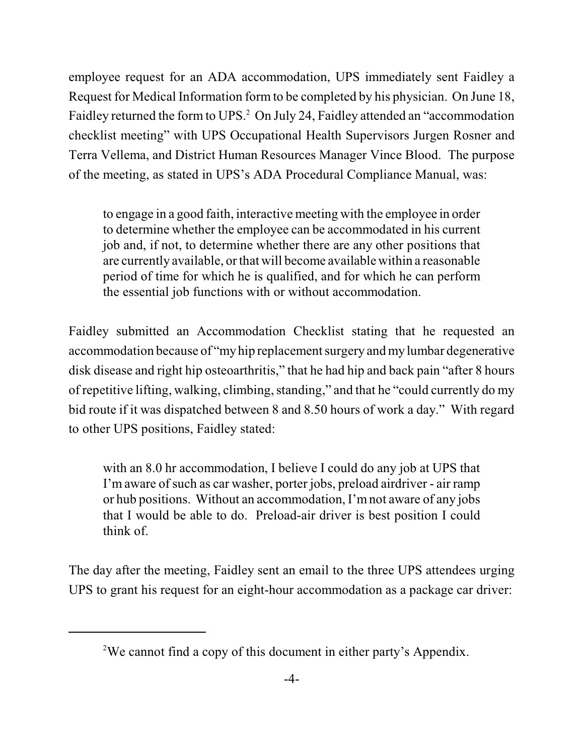employee request for an ADA accommodation, UPS immediately sent Faidley a Request for Medical Information form to be completed by his physician. On June 18, Faidley returned the form to UPS.<sup>2</sup> On July 24, Faidley attended an "accommodation" checklist meeting" with UPS Occupational Health Supervisors Jurgen Rosner and Terra Vellema, and District Human Resources Manager Vince Blood. The purpose of the meeting, as stated in UPS's ADA Procedural Compliance Manual, was:

to engage in a good faith, interactive meeting with the employee in order to determine whether the employee can be accommodated in his current job and, if not, to determine whether there are any other positions that are currently available, orthat will become availablewithin a reasonable period of time for which he is qualified, and for which he can perform the essential job functions with or without accommodation.

Faidley submitted an Accommodation Checklist stating that he requested an accommodation because of "my hip replacement surgery and my lumbar degenerative disk disease and right hip osteoarthritis," that he had hip and back pain "after 8 hours" of repetitive lifting, walking, climbing, standing," and that he "could currently do my bid route if it was dispatched between 8 and 8.50 hours of work a day." With regard to other UPS positions, Faidley stated:

with an 8.0 hr accommodation, I believe I could do any job at UPS that I'm aware of such as car washer, porter jobs, preload airdriver - air ramp or hub positions. Without an accommodation, I'mnot aware of any jobs that I would be able to do. Preload-air driver is best position I could think of.

The day after the meeting, Faidley sent an email to the three UPS attendees urging UPS to grant his request for an eight-hour accommodation as a package car driver:

<sup>2</sup>We cannot find a copy of this document in either party's Appendix.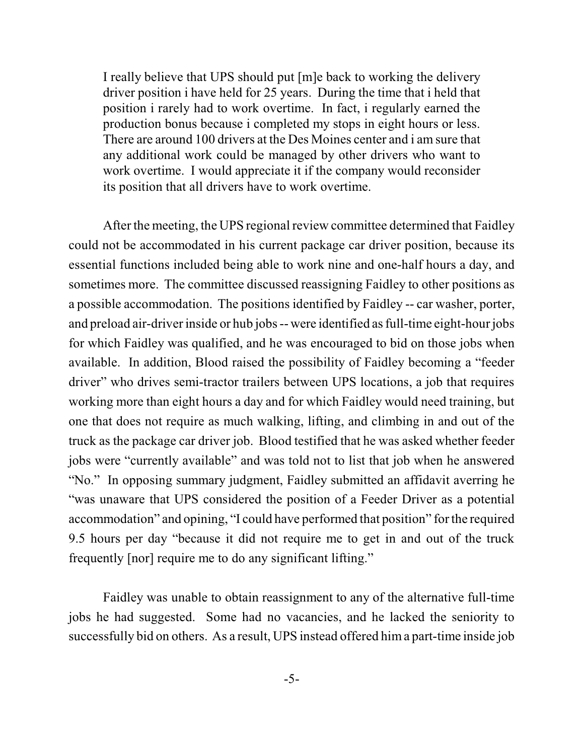I really believe that UPS should put [m]e back to working the delivery driver position i have held for 25 years. During the time that i held that position i rarely had to work overtime. In fact, i regularly earned the production bonus because i completed my stops in eight hours or less. There are around 100 drivers at the Des Moines center and i am sure that any additional work could be managed by other drivers who want to work overtime. I would appreciate it if the company would reconsider its position that all drivers have to work overtime.

After the meeting, the UPS regional review committee determined that Faidley could not be accommodated in his current package car driver position, because its essential functions included being able to work nine and one-half hours a day, and sometimes more. The committee discussed reassigning Faidley to other positions as a possible accommodation. The positions identified by Faidley -- car washer, porter, and preload air-driver inside or hub jobs -- were identified as full-time eight-hour jobs for which Faidley was qualified, and he was encouraged to bid on those jobs when available. In addition, Blood raised the possibility of Faidley becoming a "feeder driver" who drives semi-tractor trailers between UPS locations, a job that requires working more than eight hours a day and for which Faidley would need training, but one that does not require as much walking, lifting, and climbing in and out of the truck as the package car driver job. Blood testified that he was asked whether feeder jobs were "currently available" and was told not to list that job when he answered "No." In opposing summary judgment, Faidley submitted an affidavit averring he "was unaware that UPS considered the position of a Feeder Driver as a potential accommodation" and opining, "I could have performed that position" for the required 9.5 hours per day "because it did not require me to get in and out of the truck frequently [nor] require me to do any significant lifting."

Faidley was unable to obtain reassignment to any of the alternative full-time jobs he had suggested. Some had no vacancies, and he lacked the seniority to successfully bid on others. As a result, UPS instead offered hima part-time inside job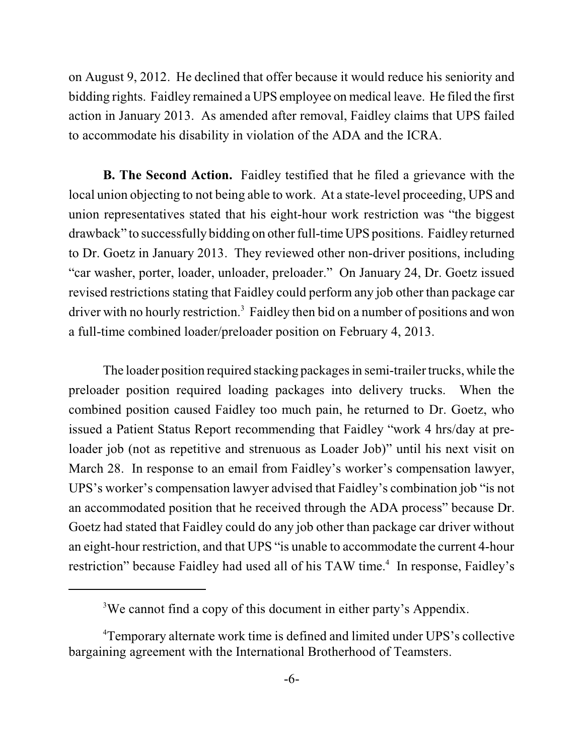on August 9, 2012. He declined that offer because it would reduce his seniority and bidding rights. Faidley remained a UPS employee on medical leave. He filed the first action in January 2013. As amended after removal, Faidley claims that UPS failed to accommodate his disability in violation of the ADA and the ICRA.

**B. The Second Action.** Faidley testified that he filed a grievance with the local union objecting to not being able to work. At a state-level proceeding, UPS and union representatives stated that his eight-hour work restriction was "the biggest drawback" to successfully bidding on other full-time UPS positions. Faidley returned to Dr. Goetz in January 2013. They reviewed other non-driver positions, including "car washer, porter, loader, unloader, preloader." On January 24, Dr. Goetz issued revised restrictions stating that Faidley could perform any job other than package car driver with no hourly restriction.<sup>3</sup> Faidley then bid on a number of positions and won a full-time combined loader/preloader position on February 4, 2013.

The loader position required stacking packages in semi-trailer trucks, while the preloader position required loading packages into delivery trucks. When the combined position caused Faidley too much pain, he returned to Dr. Goetz, who issued a Patient Status Report recommending that Faidley "work 4 hrs/day at preloader job (not as repetitive and strenuous as Loader Job)" until his next visit on March 28. In response to an email from Faidley's worker's compensation lawyer, UPS's worker's compensation lawyer advised that Faidley's combination job "is not an accommodated position that he received through the ADA process" because Dr. Goetz had stated that Faidley could do any job other than package car driver without an eight-hour restriction, and that UPS "is unable to accommodate the current 4-hour restriction" because Faidley had used all of his TAW time.<sup>4</sup> In response, Faidley's

<sup>3</sup>We cannot find a copy of this document in either party's Appendix.

<sup>4</sup>Temporary alternate work time is defined and limited under UPS's collective bargaining agreement with the International Brotherhood of Teamsters.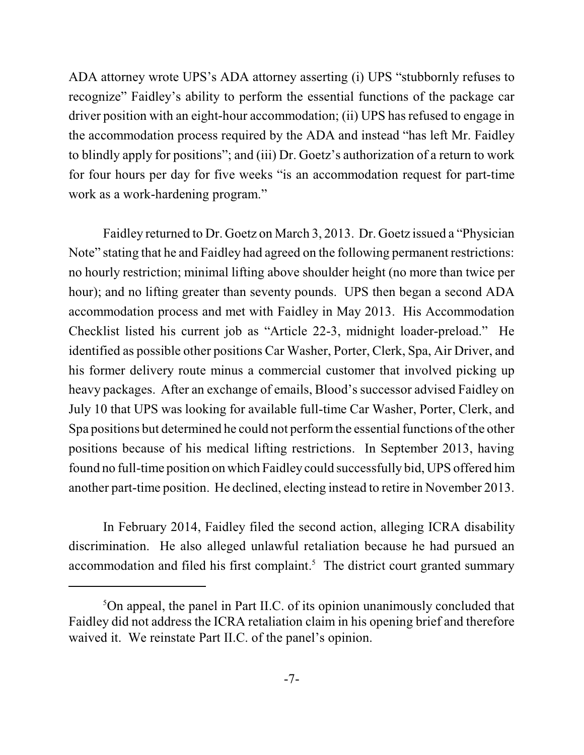ADA attorney wrote UPS's ADA attorney asserting (i) UPS "stubbornly refuses to recognize" Faidley's ability to perform the essential functions of the package car driver position with an eight-hour accommodation; (ii) UPS has refused to engage in the accommodation process required by the ADA and instead "has left Mr. Faidley to blindly apply for positions"; and (iii) Dr. Goetz's authorization of a return to work for four hours per day for five weeks "is an accommodation request for part-time work as a work-hardening program."

Faidley returned to Dr. Goetz on March 3, 2013. Dr. Goetz issued a "Physician Note" stating that he and Faidley had agreed on the following permanent restrictions: no hourly restriction; minimal lifting above shoulder height (no more than twice per hour); and no lifting greater than seventy pounds. UPS then began a second ADA accommodation process and met with Faidley in May 2013. His Accommodation Checklist listed his current job as "Article 22-3, midnight loader-preload." He identified as possible other positions Car Washer, Porter, Clerk, Spa, Air Driver, and his former delivery route minus a commercial customer that involved picking up heavy packages. After an exchange of emails, Blood's successor advised Faidley on July 10 that UPS was looking for available full-time Car Washer, Porter, Clerk, and Spa positions but determined he could not performthe essential functions of the other positions because of his medical lifting restrictions. In September 2013, having found no full-time position on which Faidley could successfully bid, UPS offered him another part-time position. He declined, electing instead to retire in November 2013.

In February 2014, Faidley filed the second action, alleging ICRA disability discrimination. He also alleged unlawful retaliation because he had pursued an accommodation and filed his first complaint.<sup>5</sup> The district court granted summary

 $5$ On appeal, the panel in Part II.C. of its opinion unanimously concluded that Faidley did not address the ICRA retaliation claim in his opening brief and therefore waived it. We reinstate Part II.C. of the panel's opinion.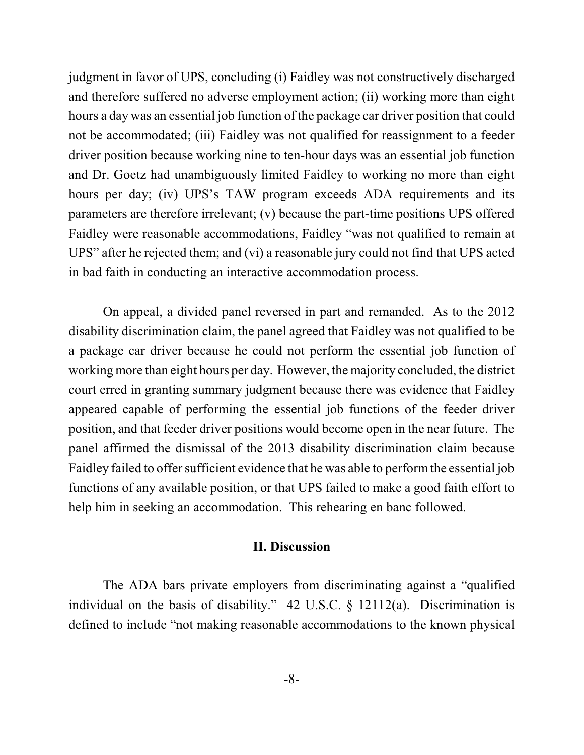judgment in favor of UPS, concluding (i) Faidley was not constructively discharged and therefore suffered no adverse employment action; (ii) working more than eight hours a day was an essential job function of the package car driver position that could not be accommodated; (iii) Faidley was not qualified for reassignment to a feeder driver position because working nine to ten-hour days was an essential job function and Dr. Goetz had unambiguously limited Faidley to working no more than eight hours per day; (iv) UPS's TAW program exceeds ADA requirements and its parameters are therefore irrelevant; (v) because the part-time positions UPS offered Faidley were reasonable accommodations, Faidley "was not qualified to remain at UPS" after he rejected them; and (vi) a reasonable jury could not find that UPS acted in bad faith in conducting an interactive accommodation process.

On appeal, a divided panel reversed in part and remanded. As to the 2012 disability discrimination claim, the panel agreed that Faidley was not qualified to be a package car driver because he could not perform the essential job function of working more than eight hours per day. However, the majority concluded, the district court erred in granting summary judgment because there was evidence that Faidley appeared capable of performing the essential job functions of the feeder driver position, and that feeder driver positions would become open in the near future. The panel affirmed the dismissal of the 2013 disability discrimination claim because Faidley failed to offer sufficient evidence that he was able to performthe essential job functions of any available position, or that UPS failed to make a good faith effort to help him in seeking an accommodation. This rehearing en banc followed.

## **II. Discussion**

The ADA bars private employers from discriminating against a "qualified individual on the basis of disability." 42 U.S.C. § 12112(a). Discrimination is defined to include "not making reasonable accommodations to the known physical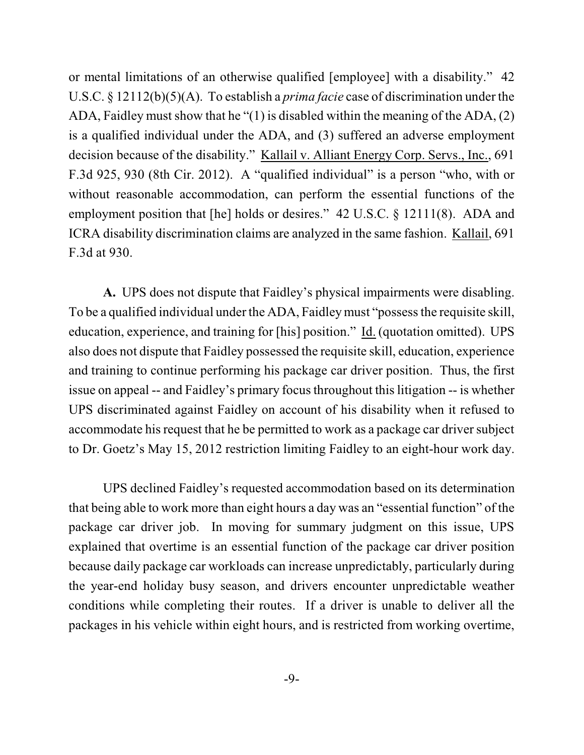or mental limitations of an otherwise qualified [employee] with a disability." 42 U.S.C. § 12112(b)(5)(A). To establish a *prima facie* case of discrimination under the ADA, Faidley must show that he "(1) is disabled within the meaning of the ADA, (2) is a qualified individual under the ADA, and (3) suffered an adverse employment decision because of the disability." Kallail v. Alliant Energy Corp. Servs., Inc., 691 F.3d 925, 930 (8th Cir. 2012). A "qualified individual" is a person "who, with or without reasonable accommodation, can perform the essential functions of the employment position that [he] holds or desires." 42 U.S.C. § 12111(8). ADA and ICRA disability discrimination claims are analyzed in the same fashion. Kallail, 691 F.3d at 930.

**A.** UPS does not dispute that Faidley's physical impairments were disabling. To be a qualified individual under the ADA, Faidleymust "possess the requisite skill, education, experience, and training for [his] position." Id. (quotation omitted). UPS also does not dispute that Faidley possessed the requisite skill, education, experience and training to continue performing his package car driver position. Thus, the first issue on appeal -- and Faidley's primary focus throughout this litigation -- is whether UPS discriminated against Faidley on account of his disability when it refused to accommodate his request that he be permitted to work as a package car driver subject to Dr. Goetz's May 15, 2012 restriction limiting Faidley to an eight-hour work day.

UPS declined Faidley's requested accommodation based on its determination that being able to work more than eight hours a day was an "essential function" of the package car driver job. In moving for summary judgment on this issue, UPS explained that overtime is an essential function of the package car driver position because daily package car workloads can increase unpredictably, particularly during the year-end holiday busy season, and drivers encounter unpredictable weather conditions while completing their routes. If a driver is unable to deliver all the packages in his vehicle within eight hours, and is restricted from working overtime,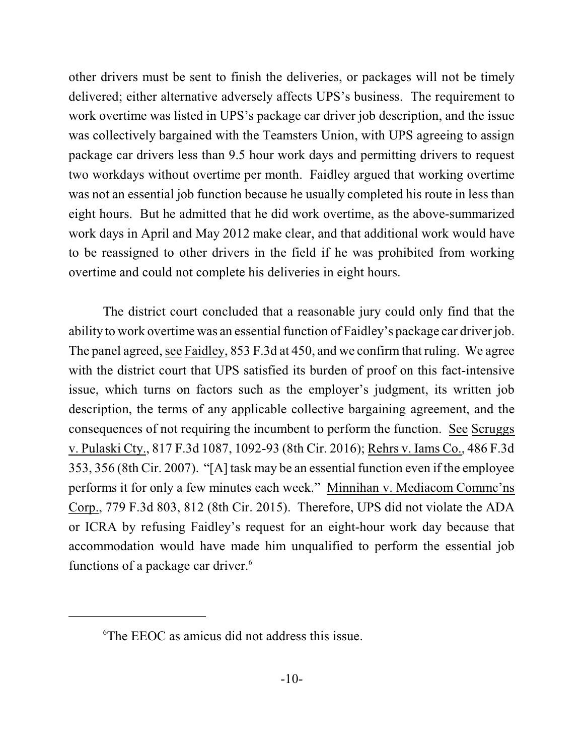other drivers must be sent to finish the deliveries, or packages will not be timely delivered; either alternative adversely affects UPS's business. The requirement to work overtime was listed in UPS's package car driver job description, and the issue was collectively bargained with the Teamsters Union, with UPS agreeing to assign package car drivers less than 9.5 hour work days and permitting drivers to request two workdays without overtime per month. Faidley argued that working overtime was not an essential job function because he usually completed his route in less than eight hours. But he admitted that he did work overtime, as the above-summarized work days in April and May 2012 make clear, and that additional work would have to be reassigned to other drivers in the field if he was prohibited from working overtime and could not complete his deliveries in eight hours.

The district court concluded that a reasonable jury could only find that the ability to work overtime was an essential function of Faidley's package car driver job. The panel agreed, see Faidley, 853 F.3d at 450, and we confirm that ruling. We agree with the district court that UPS satisfied its burden of proof on this fact-intensive issue, which turns on factors such as the employer's judgment, its written job description, the terms of any applicable collective bargaining agreement, and the consequences of not requiring the incumbent to perform the function. See Scruggs v. Pulaski Cty., 817 F.3d 1087, 1092-93 (8th Cir. 2016); Rehrs v. Iams Co., 486 F.3d 353, 356 (8th Cir. 2007). "[A] task may be an essential function even if the employee performs it for only a few minutes each week." Minnihan v. Mediacom Commc'ns Corp., 779 F.3d 803, 812 (8th Cir. 2015). Therefore, UPS did not violate the ADA or ICRA by refusing Faidley's request for an eight-hour work day because that accommodation would have made him unqualified to perform the essential job functions of a package car driver.<sup>6</sup>

<sup>6</sup>The EEOC as amicus did not address this issue.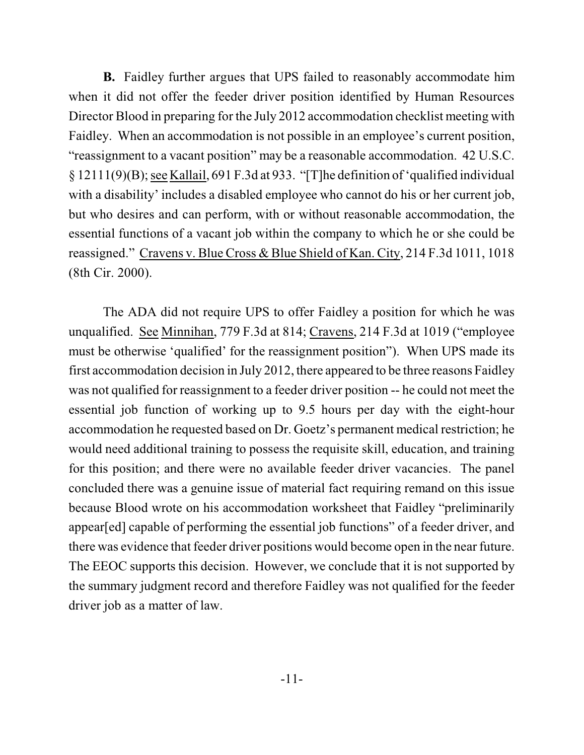**B.** Faidley further argues that UPS failed to reasonably accommodate him when it did not offer the feeder driver position identified by Human Resources Director Blood in preparing for the July 2012 accommodation checklist meeting with Faidley. When an accommodation is not possible in an employee's current position, "reassignment to a vacant position" may be a reasonable accommodation. 42 U.S.C. § 12111(9)(B);see Kallail, 691 F.3d at 933. "[T]he definition of'qualified individual with a disability' includes a disabled employee who cannot do his or her current job, but who desires and can perform, with or without reasonable accommodation, the essential functions of a vacant job within the company to which he or she could be reassigned." Cravens v. Blue Cross & Blue Shield of Kan. City, 214 F.3d 1011, 1018 (8th Cir. 2000).

The ADA did not require UPS to offer Faidley a position for which he was unqualified. See Minnihan, 779 F.3d at 814; Cravens, 214 F.3d at 1019 ("employee must be otherwise 'qualified' for the reassignment position"). When UPS made its first accommodation decision in July 2012, there appeared to be three reasons Faidley was not qualified for reassignment to a feeder driver position -- he could not meet the essential job function of working up to 9.5 hours per day with the eight-hour accommodation he requested based on Dr. Goetz's permanent medical restriction; he would need additional training to possess the requisite skill, education, and training for this position; and there were no available feeder driver vacancies. The panel concluded there was a genuine issue of material fact requiring remand on this issue because Blood wrote on his accommodation worksheet that Faidley "preliminarily appear[ed] capable of performing the essential job functions" of a feeder driver, and there was evidence that feeder driver positions would become open in the near future. The EEOC supports this decision. However, we conclude that it is not supported by the summary judgment record and therefore Faidley was not qualified for the feeder driver job as a matter of law.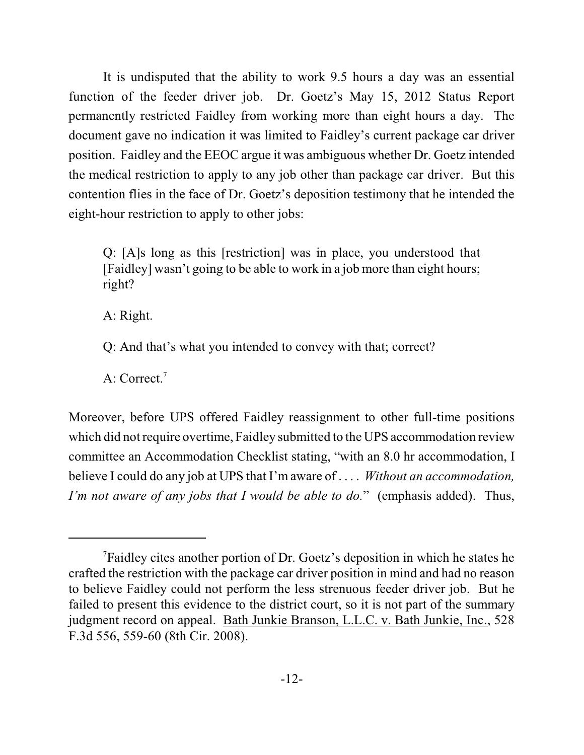It is undisputed that the ability to work 9.5 hours a day was an essential function of the feeder driver job. Dr. Goetz's May 15, 2012 Status Report permanently restricted Faidley from working more than eight hours a day. The document gave no indication it was limited to Faidley's current package car driver position. Faidley and the EEOC argue it was ambiguous whether Dr. Goetz intended the medical restriction to apply to any job other than package car driver. But this contention flies in the face of Dr. Goetz's deposition testimony that he intended the eight-hour restriction to apply to other jobs:

Q: [A]s long as this [restriction] was in place, you understood that [Faidley] wasn't going to be able to work in a job more than eight hours; right?

A: Right.

Q: And that's what you intended to convey with that; correct?

A: Correct.<sup>7</sup>

Moreover, before UPS offered Faidley reassignment to other full-time positions which did notrequire overtime, Faidley submitted to the UPS accommodation review committee an Accommodation Checklist stating, "with an 8.0 hr accommodation, I believe I could do any job at UPS that I'm aware of . . . . *Without an accommodation, I'm not aware of any jobs that I would be able to do.*" (emphasis added). Thus,

<sup>7</sup>Faidley cites another portion of Dr. Goetz's deposition in which he states he crafted the restriction with the package car driver position in mind and had no reason to believe Faidley could not perform the less strenuous feeder driver job. But he failed to present this evidence to the district court, so it is not part of the summary judgment record on appeal. Bath Junkie Branson, L.L.C. v. Bath Junkie, Inc., 528 F.3d 556, 559-60 (8th Cir. 2008).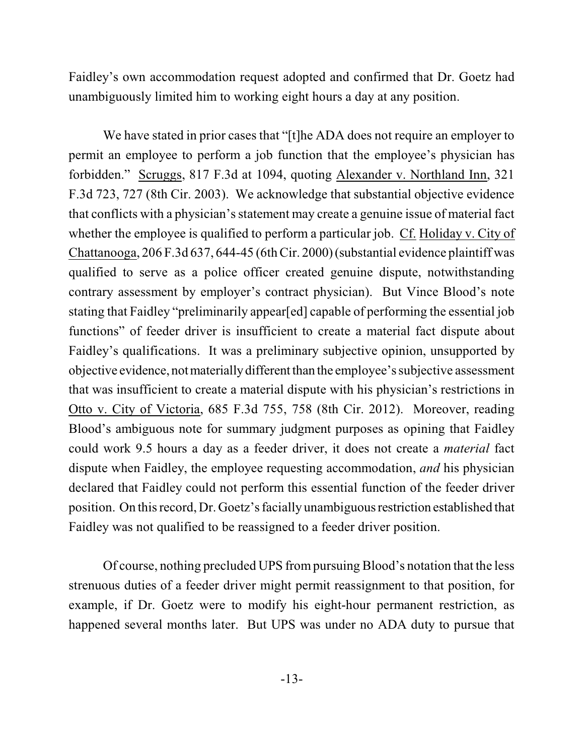Faidley's own accommodation request adopted and confirmed that Dr. Goetz had unambiguously limited him to working eight hours a day at any position.

We have stated in prior cases that "[t]he ADA does not require an employer to permit an employee to perform a job function that the employee's physician has forbidden." Scruggs, 817 F.3d at 1094, quoting Alexander v. Northland Inn, 321 F.3d 723, 727 (8th Cir. 2003). We acknowledge that substantial objective evidence that conflicts with a physician's statement may create a genuine issue of material fact whether the employee is qualified to perform a particular job. Cf. Holiday v. City of Chattanooga, 206 F.3d 637, 644-45 (6thCir. 2000)(substantial evidence plaintiff was qualified to serve as a police officer created genuine dispute, notwithstanding contrary assessment by employer's contract physician). But Vince Blood's note stating that Faidley "preliminarily appear[ed] capable of performing the essential job functions" of feeder driver is insufficient to create a material fact dispute about Faidley's qualifications. It was a preliminary subjective opinion, unsupported by objective evidence, notmateriallydifferent than the employee's subjective assessment that was insufficient to create a material dispute with his physician's restrictions in Otto v. City of Victoria, 685 F.3d 755, 758 (8th Cir. 2012). Moreover, reading Blood's ambiguous note for summary judgment purposes as opining that Faidley could work 9.5 hours a day as a feeder driver, it does not create a *material* fact dispute when Faidley, the employee requesting accommodation, *and* his physician declared that Faidley could not perform this essential function of the feeder driver position. On thisrecord, Dr. Goetz's facially unambiguousrestriction established that Faidley was not qualified to be reassigned to a feeder driver position.

Of course, nothing precluded UPS frompursuing Blood's notation that the less strenuous duties of a feeder driver might permit reassignment to that position, for example, if Dr. Goetz were to modify his eight-hour permanent restriction, as happened several months later. But UPS was under no ADA duty to pursue that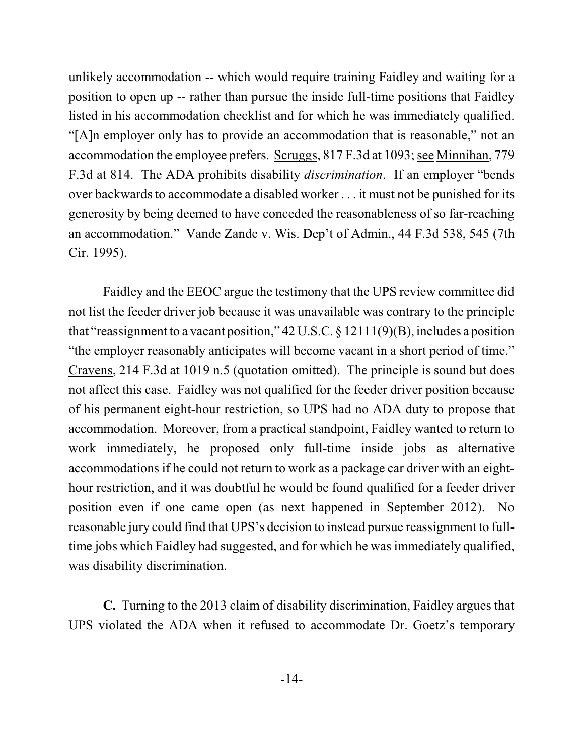unlikely accommodation -- which would require training Faidley and waiting for a position to open up -- rather than pursue the inside full-time positions that Faidley listed in his accommodation checklist and for which he was immediately qualified. "[A]n employer only has to provide an accommodation that is reasonable," not an accommodation the employee prefers. Scruggs, 817 F.3d at 1093; see Minnihan, 779 F.3d at 814. The ADA prohibits disability *discrimination*. If an employer "bends over backwards to accommodate a disabled worker . . . it must not be punished for its generosity by being deemed to have conceded the reasonableness of so far-reaching an accommodation." Vande Zande v. Wis. Dep't of Admin., 44 F.3d 538, 545 (7th Cir. 1995).

Faidley and the EEOC argue the testimony that the UPS review committee did not list the feeder driver job because it was unavailable was contrary to the principle that "reassignment to a vacant position,"  $42$  U.S.C. § 12111(9)(B), includes a position "the employer reasonably anticipates will become vacant in a short period of time." Cravens, 214 F.3d at 1019 n.5 (quotation omitted). The principle is sound but does not affect this case. Faidley was not qualified for the feeder driver position because of his permanent eight-hour restriction, so UPS had no ADA duty to propose that accommodation. Moreover, from a practical standpoint, Faidley wanted to return to work immediately, he proposed only full-time inside jobs as alternative accommodations if he could not return to work as a package car driver with an eighthour restriction, and it was doubtful he would be found qualified for a feeder driver position even if one came open (as next happened in September 2012). No reasonable jury could find that UPS's decision to instead pursue reassignment to fulltime jobs which Faidley had suggested, and for which he was immediately qualified, was disability discrimination.

**C.** Turning to the 2013 claim of disability discrimination, Faidley argues that UPS violated the ADA when it refused to accommodate Dr. Goetz's temporary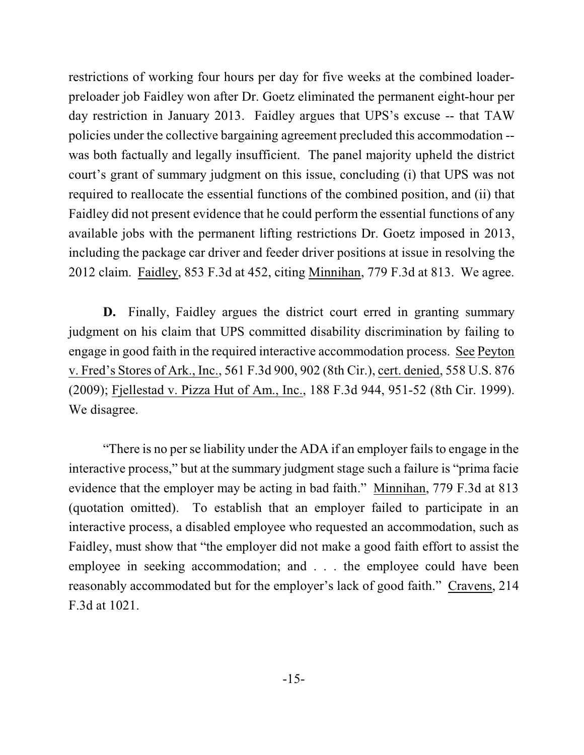restrictions of working four hours per day for five weeks at the combined loaderpreloader job Faidley won after Dr. Goetz eliminated the permanent eight-hour per day restriction in January 2013. Faidley argues that UPS's excuse -- that TAW policies under the collective bargaining agreement precluded this accommodation - was both factually and legally insufficient. The panel majority upheld the district court's grant of summary judgment on this issue, concluding (i) that UPS was not required to reallocate the essential functions of the combined position, and (ii) that Faidley did not present evidence that he could perform the essential functions of any available jobs with the permanent lifting restrictions Dr. Goetz imposed in 2013, including the package car driver and feeder driver positions at issue in resolving the 2012 claim. Faidley, 853 F.3d at 452, citing Minnihan, 779 F.3d at 813. We agree.

**D.** Finally, Faidley argues the district court erred in granting summary judgment on his claim that UPS committed disability discrimination by failing to engage in good faith in the required interactive accommodation process. See Peyton v. Fred's Stores of Ark., Inc., 561 F.3d 900, 902 (8th Cir.), cert. denied, 558 U.S. 876 (2009); Fjellestad v. Pizza Hut of Am., Inc., 188 F.3d 944, 951-52 (8th Cir. 1999). We disagree.

"There is no per se liability under the ADA if an employer fails to engage in the interactive process," but at the summary judgment stage such a failure is "prima facie evidence that the employer may be acting in bad faith." Minnihan, 779 F.3d at 813 (quotation omitted). To establish that an employer failed to participate in an interactive process, a disabled employee who requested an accommodation, such as Faidley, must show that "the employer did not make a good faith effort to assist the employee in seeking accommodation; and . . . the employee could have been reasonably accommodated but for the employer's lack of good faith." Cravens, 214 F.3d at 1021.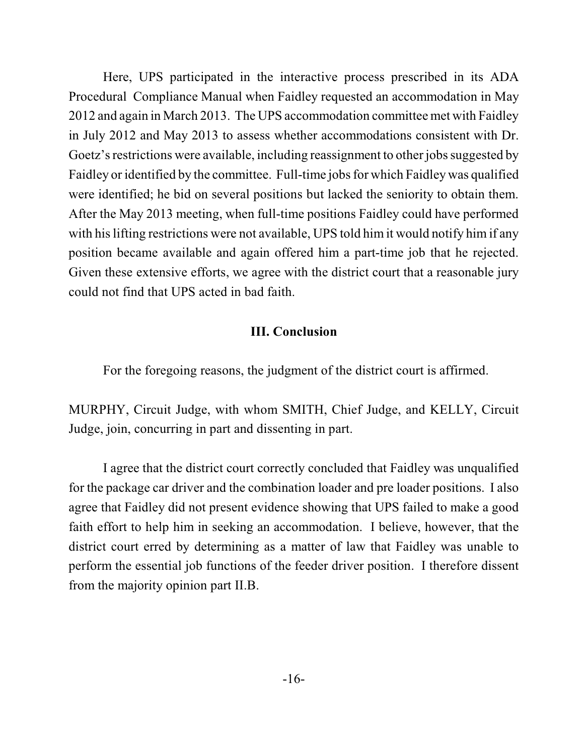Here, UPS participated in the interactive process prescribed in its ADA Procedural Compliance Manual when Faidley requested an accommodation in May 2012 and again in March 2013. The UPS accommodation committee met with Faidley in July 2012 and May 2013 to assess whether accommodations consistent with Dr. Goetz's restrictions were available, including reassignment to other jobs suggested by Faidley or identified by the committee. Full-time jobs for which Faidley was qualified were identified; he bid on several positions but lacked the seniority to obtain them. After the May 2013 meeting, when full-time positions Faidley could have performed with his lifting restrictions were not available, UPS told him it would notify him if any position became available and again offered him a part-time job that he rejected. Given these extensive efforts, we agree with the district court that a reasonable jury could not find that UPS acted in bad faith.

## **III. Conclusion**

For the foregoing reasons, the judgment of the district court is affirmed.

MURPHY, Circuit Judge, with whom SMITH, Chief Judge, and KELLY, Circuit Judge, join, concurring in part and dissenting in part.

I agree that the district court correctly concluded that Faidley was unqualified for the package car driver and the combination loader and pre loader positions. I also agree that Faidley did not present evidence showing that UPS failed to make a good faith effort to help him in seeking an accommodation. I believe, however, that the district court erred by determining as a matter of law that Faidley was unable to perform the essential job functions of the feeder driver position. I therefore dissent from the majority opinion part II.B.